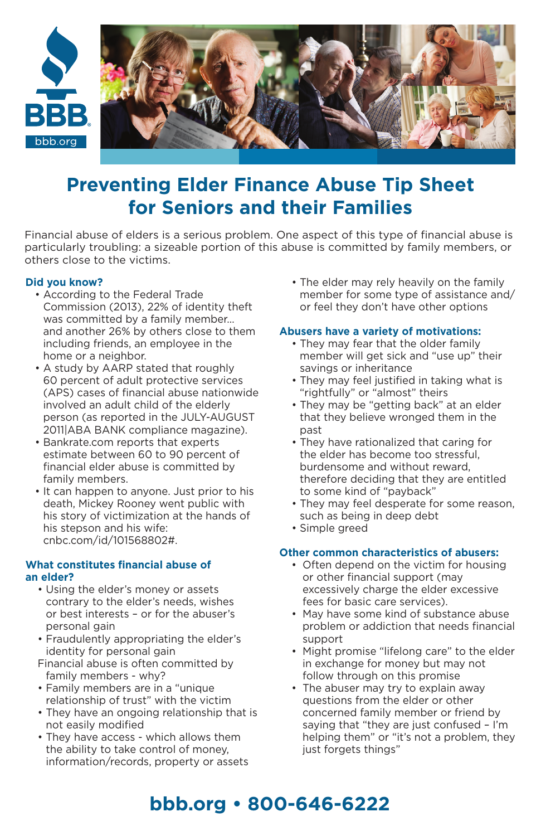

# **Preventing Elder Finance Abuse Tip Sheet for Seniors and their Families**

Financial abuse of elders is a serious problem. One aspect of this type of financial abuse is particularly troubling: a sizeable portion of this abuse is committed by family members, or others close to the victims.

#### **Did you know?**

- According to the Federal Trade Commission (2013), 22% of identity theft was committed by a family member… and another 26% by others close to them including friends, an employee in the home or a neighbor.
- A study by AARP stated that roughly 60 percent of adult protective services (APS) cases of financial abuse nationwide involved an adult child of the elderly person (as reported in the JULY-AUGUST 2011|ABA BANK compliance magazine).
- Bankrate.com reports that experts estimate between 60 to 90 percent of financial elder abuse is committed by family members.
- It can happen to anyone. Just prior to his death, Mickey Rooney went public with his story of victimization at the hands of his stepson and his wife: cnbc.com/id/101568802#.

#### **What constitutes financial abuse of an elder?**

- Using the elder's money or assets contrary to the elder's needs, wishes or best interests – or for the abuser's personal gain
- Fraudulently appropriating the elder's identity for personal gain
- Financial abuse is often committed by family members - why?
- Family members are in a "unique relationship of trust" with the victim
- They have an ongoing relationship that is not easily modified
- They have access which allows them the ability to take control of money, information/records, property or assets

• The elder may rely heavily on the family member for some type of assistance and/ or feel they don't have other options

#### **Abusers have a variety of motivations:**

- They may fear that the older family member will get sick and "use up" their savings or inheritance
- They may feel justified in taking what is "rightfully" or "almost" theirs
- They may be "getting back" at an elder that they believe wronged them in the nast
- They have rationalized that caring for the elder has become too stressful, burdensome and without reward, therefore deciding that they are entitled to some kind of "payback"
- They may feel desperate for some reason, such as being in deep debt
- Simple greed

## **Other common characteristics of abusers:**

- Often depend on the victim for housing or other financial support (may excessively charge the elder excessive fees for basic care services).
- May have some kind of substance abuse problem or addiction that needs financial support
- Might promise "lifelong care" to the elder in exchange for money but may not follow through on this promise
- The abuser may try to explain away questions from the elder or other concerned family member or friend by saying that "they are just confused – I'm helping them" or "it's not a problem, they just forgets things"

# **bbb.org • 800-646-6222**